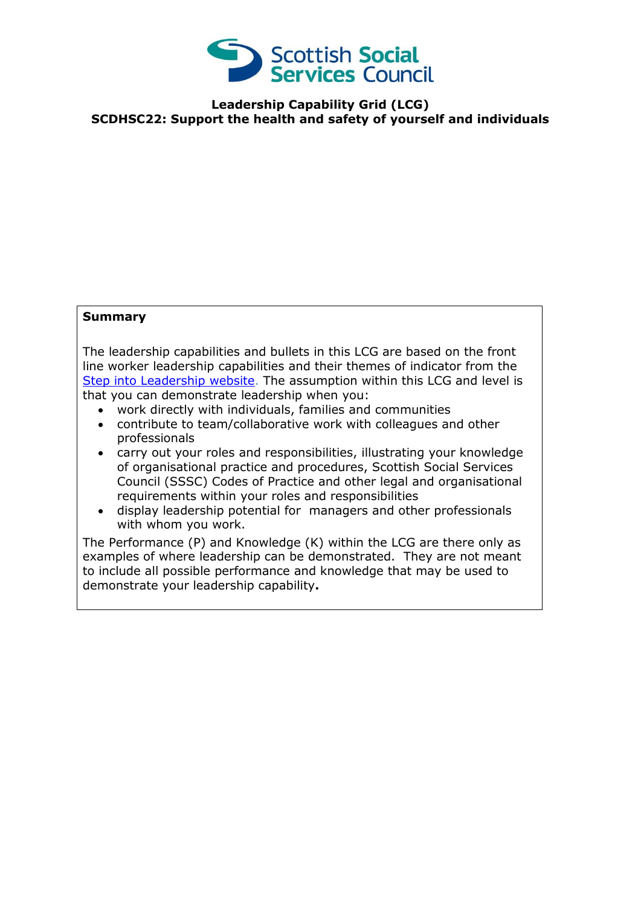

**Leadership Capability Grid (LCG) SCDHSC22: Support the health and safety of yourself and individuals** 

## **Summary**

The leadership capabilities and bullets in this LCG are based on the front line worker leadership capabilities and their themes of indicator from the [Step into Leadership website.](http://www.stepintoleadership.info/) The assumption within this LCG and level is that you can demonstrate leadership when you:

- work directly with individuals, families and communities
- contribute to team/collaborative work with colleagues and other professionals
- carry out your roles and responsibilities, illustrating your knowledge of organisational practice and procedures, Scottish Social Services Council (SSSC) Codes of Practice and other legal and organisational requirements within your roles and responsibilities
- display leadership potential for managers and other professionals with whom you work.

The Performance (P) and Knowledge (K) within the LCG are there only as examples of where leadership can be demonstrated. They are not meant to include all possible performance and knowledge that may be used to demonstrate your leadership capability**.**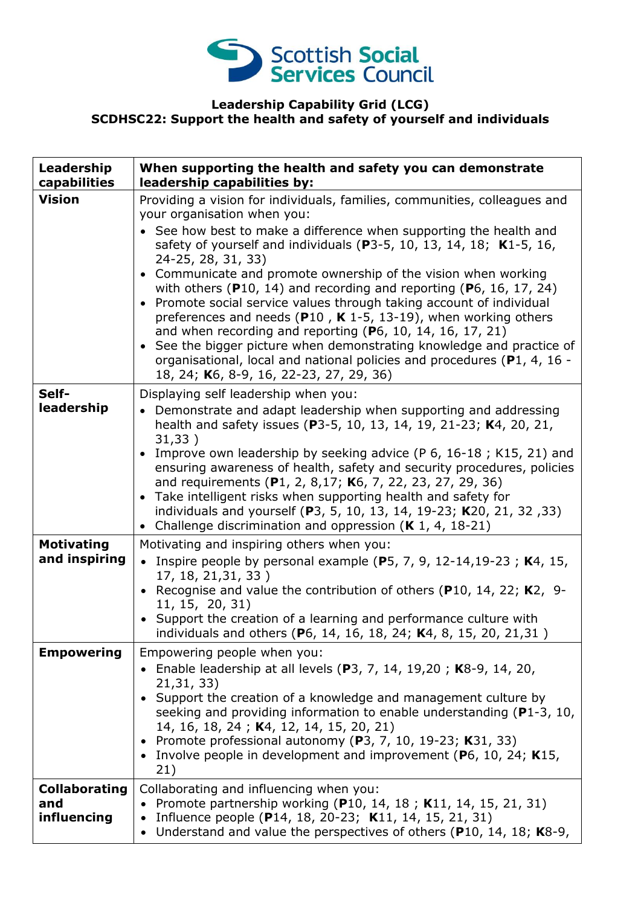

## **Leadership Capability Grid (LCG) SCDHSC22: Support the health and safety of yourself and individuals**

| Leadership<br>capabilities                 | When supporting the health and safety you can demonstrate<br>leadership capabilities by:                                                                                                                                                                                                                                                                                                                                                                                                                                                                                                                                                                                                                                                                                                                                                  |
|--------------------------------------------|-------------------------------------------------------------------------------------------------------------------------------------------------------------------------------------------------------------------------------------------------------------------------------------------------------------------------------------------------------------------------------------------------------------------------------------------------------------------------------------------------------------------------------------------------------------------------------------------------------------------------------------------------------------------------------------------------------------------------------------------------------------------------------------------------------------------------------------------|
| <b>Vision</b>                              | Providing a vision for individuals, families, communities, colleagues and<br>your organisation when you:<br>See how best to make a difference when supporting the health and<br>safety of yourself and individuals (P3-5, 10, 13, 14, 18; $K1-5$ , 16,<br>24-25, 28, 31, 33)<br>• Communicate and promote ownership of the vision when working<br>with others ( $P10$ , 14) and recording and reporting ( $P6$ , 16, 17, 24)<br>• Promote social service values through taking account of individual<br>preferences and needs ( $P10$ , K 1-5, 13-19), when working others<br>and when recording and reporting ( $P_6$ , 10, 14, 16, 17, 21)<br>See the bigger picture when demonstrating knowledge and practice of<br>organisational, local and national policies and procedures (P1, 4, 16 -<br>18, 24; K6, 8-9, 16, 22-23, 27, 29, 36) |
| Self-<br>leadership                        | Displaying self leadership when you:<br>Demonstrate and adapt leadership when supporting and addressing<br>health and safety issues (P3-5, 10, 13, 14, 19, 21-23; K4, 20, 21,<br>31,33)<br>• Improve own leadership by seeking advice (P 6, 16-18; K15, 21) and<br>ensuring awareness of health, safety and security procedures, policies<br>and requirements (P1, 2, 8,17; K6, 7, 22, 23, 27, 29, 36)<br>• Take intelligent risks when supporting health and safety for<br>individuals and yourself (P3, 5, 10, 13, 14, 19-23; K20, 21, 32, 33)<br>• Challenge discrimination and oppression $(K 1, 4, 18-21)$                                                                                                                                                                                                                           |
| <b>Motivating</b><br>and inspiring         | Motivating and inspiring others when you:<br>• Inspire people by personal example (P5, 7, 9, 12-14, 19-23; K4, 15,<br>17, 18, 21, 31, 33)<br>• Recognise and value the contribution of others (P10, 14, 22; K2, 9-<br>11, 15, 20, 31)<br>• Support the creation of a learning and performance culture with<br>individuals and others (P6, 14, 16, 18, 24; K4, 8, 15, 20, 21, 31)                                                                                                                                                                                                                                                                                                                                                                                                                                                          |
| <b>Empowering</b>                          | Empowering people when you:<br>• Enable leadership at all levels (P3, 7, 14, 19, 20; K8-9, 14, 20,<br>21,31,33)<br>• Support the creation of a knowledge and management culture by<br>seeking and providing information to enable understanding ( $P1-3$ , 10,<br>14, 16, 18, 24; K4, 12, 14, 15, 20, 21)<br>• Promote professional autonomy (P3, 7, 10, 19-23; K31, 33)<br>• Involve people in development and improvement (P6, 10, 24; K15,<br>21)                                                                                                                                                                                                                                                                                                                                                                                      |
| <b>Collaborating</b><br>and<br>influencing | Collaborating and influencing when you:<br>• Promote partnership working (P10, 14, 18; K11, 14, 15, 21, 31)<br>Influence people (P14, 18, 20-23; K11, 14, 15, 21, 31)<br>Understand and value the perspectives of others (P10, 14, 18; K8-9,                                                                                                                                                                                                                                                                                                                                                                                                                                                                                                                                                                                              |